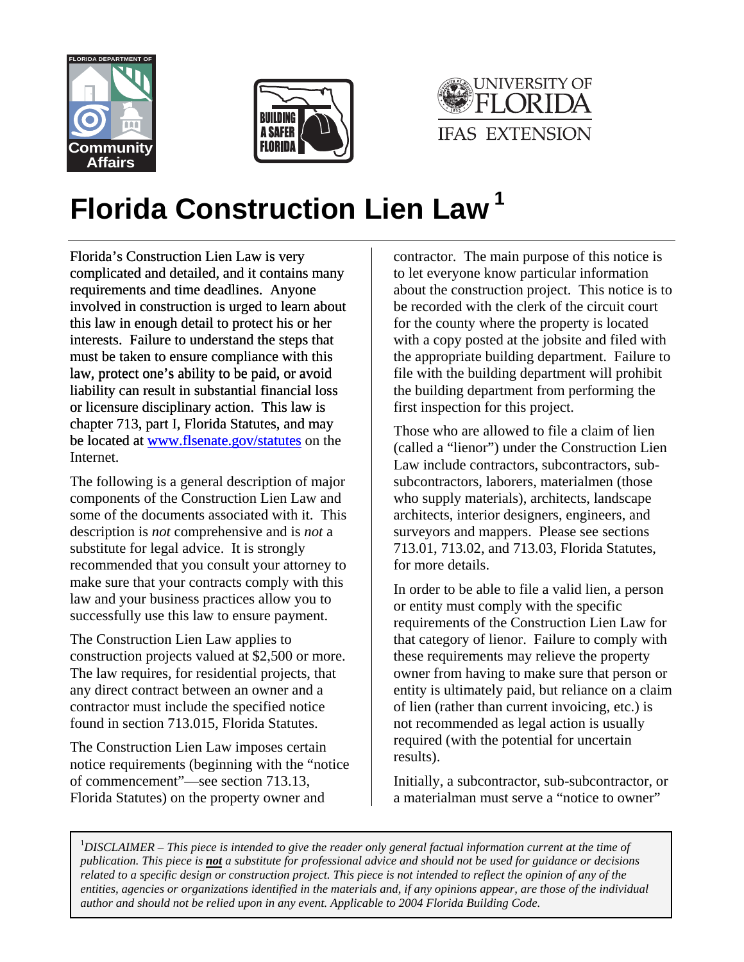





## **Florida Construction Lien Law 1**

Florida's Construction Lien Law is very complicated and detailed, and it contains many requirements and time deadlines. Anyone involved in construction is urged to learn about this law in enough detail to protect his or her interests. Failure to understand the steps that must be taken to ensure compliance with this law, protect one's ability to be paid, or avoid liability can result in substantial financial loss or licensure disciplinary action. This law is chapter 713, part I, Florida Statutes, and may be located at <u>www.flsenate.gov/statutes</u> on the Internet.

The following is a general description of major components of the Construction Lien Law and some of the documents associated with it. This description is *not* comprehensive and is *not* a substitute for legal advice. It is strongly recommended that you consult your attorney to make sure that your contracts comply with this law and your business practices allow you to successfully use this law to ensure payment.

The Construction Lien Law applies to construction projects valued at \$2,500 or more. The law requires, for residential projects, that any direct contract between an owner and a contractor must include the specified notice found in section 713.015, Florida Statutes.

The Construction Lien Law imposes certain notice requirements (beginning with the "notice of commencement"—see section 713.13, Florida Statutes) on the property owner and

contractor. The main purpose of this notice is to let everyone know particular information about the construction project. This notice is to be recorded with the clerk of the circuit court for the county where the property is located with a copy posted at the jobsite and filed with the appropriate building department. Failure to file with the building department will prohibit the building department from performing the first inspection for this project.

Those who are allowed to file a claim of lien (called a "lienor") under the Construction Lien Law include contractors, subcontractors, subsubcontractors, laborers, materialmen (those who supply materials), architects, landscape architects, interior designers, engineers, and surveyors and mappers. Please see sections 713.01, 713.02, and 713.03, Florida Statutes, for more details.

In order to be able to file a valid lien, a person or entity must comply with the specific requirements of the Construction Lien Law for that category of lienor. Failure to comply with these requirements may relieve the property owner from having to make sure that person or entity is ultimately paid, but reliance on a claim of lien (rather than current invoicing, etc.) is not recommended as legal action is usually required (with the potential for uncertain results).

Initially, a subcontractor, sub-subcontractor, or a materialman must serve a "notice to owner"

<sup>1</sup>DISCLAIMER – This piece is intended to give the reader only general factual information current at the time of *publication. This piece is not a substitute for professional advice and should not be used for guidance or decisions related to a specific design or construction project. This piece is not intended to reflect the opinion of any of the entities, agencies or organizations identified in the materials and, if any opinions appear, are those of the individual author and should not be relied upon in any event. Applicable to 2004 Florida Building Code.*